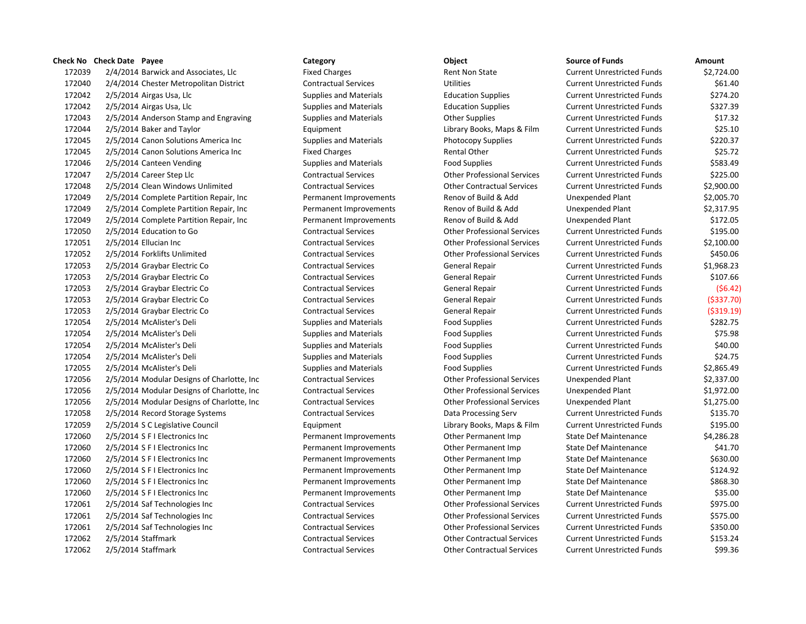## **Check No Check Date Payee Category Category Check No Check Date Object**

172039 2/4/2014 Barwick and Associates, Llc Fixed Charges Fixed Charges Rent Non State Current Unrestricted Funds \$2,724.00 2/4/2014 Chester Metropolitan District Contractual Services Utilities Current Unrestricted Funds \$61.40 172042 2/5/2014 Airgas Usa, Llc Supplies and Materials Education Supplies Current Unrestricted Funds \$274.20 172042 2/5/2014 Airgas Usa, Llc Supplies and Materials Education Supplies Current Unrestricted Funds \$327.39 172043 2/5/2014 Anderson Stamp and Engraving Supplies and Materials Current Unrestricted Funds 517.32 172044 2/5/2014 Baker and Taylor **Equipment** Equipment Library Books, Maps & Film Current Unrestricted Funds \$25.10 2/5/2014 Canon Solutions America Inc Supplies and Materials Photocopy Supplies Current Unrestricted Funds \$220.37 172045 2/5/2014 Canon Solutions America Inc Fixed Charges Rental Other Current Unrestricted Funds \$25.72 172046 2/5/2014 Canteen Vending Supplies and Materials Food Supplies Food Supplies Current Unrestricted Funds \$583.49 2/5/2014 Career Step Llc Contractual Services Other Professional Services Current Unrestricted Funds \$225.00 2/5/2014 Clean Windows Unlimited Contractual Services Other Contractual Services Current Unrestricted Funds \$2,900.00 2/5/2014 Complete Partition Repair, Inc Permanent Improvements Renov of Build & Add Unexpended Plant \$2,005.70 172049 2/5/2014 Complete Partition Repair, Inc Permanent Improvements Renov of Build & Add Unexpended Plant \$2,317.95 2/5/2014 Complete Partition Repair, Inc Permanent Improvements Renov of Build & Add Unexpended Plant \$172.05 2/5/2014 Education to Go Contractual Services Other Professional Services Current Unrestricted Funds \$195.00 2/5/2014 Ellucian Inc Contractual Services Other Professional Services Current Unrestricted Funds \$2,100.00 2/5/2014 Forklifts Unlimited Contractual Services Other Professional Services Current Unrestricted Funds \$450.06 2/5/2014 Graybar Electric Co Contractual Services General Repair Current Unrestricted Funds \$1,968.23 172053 2/5/2014 Graybar Electric Co Contractual Services General Repair Current Unrestricted Funds \$107.66 2/5/2014 Graybar Electric Co Contractual Services General Repair Current Unrestricted Funds (\$6.42) 2/5/2014 Graybar Electric Co Contractual Services General Repair Current Unrestricted Funds (\$337.70) 2/5/2014 Graybar Electric Co Contractual Services General Repair Current Unrestricted Funds (\$319.19) 172054 2/5/2014 McAlister's Deli Supplies and Materials Food Supplies Food Supplies Current Unrestricted Funds \$282.75 172054 2/5/2014 McAlister's Deli Supplies and Materials Food Supplies Current Unrestricted Funds \$75.98 2/5/2014 McAlister's Deli Supplies and Materials Food Supplies Current Unrestricted Funds \$40.00 172054 2/5/2014 McAlister's Deli Supplies and Materials Food Supplies Current Unrestricted Funds \$24.75 172055 2/5/2014 McAlister's Deli **Supplies and Materials** Food Supplies Food Supplies Current Unrestricted Funds 52,865.49 2/5/2014 Modular Designs of Charlotte, Inc Contractual Services Other Professional Services Unexpended Plant \$2,337.00 2/5/2014 Modular Designs of Charlotte, Inc Contractual Services Other Professional Services Unexpended Plant \$1,972.00 2/5/2014 Modular Designs of Charlotte, Inc Contractual Services Other Professional Services Unexpended Plant \$1,275.00 2/5/2014 Record Storage Systems Contractual Services Data Processing Serv Current Unrestricted Funds \$135.70 2/5/2014 S C Legislative Council Equipment Library Books, Maps & Film Current Unrestricted Funds \$195.00 172060 2/5/2014 S F I Electronics Inc **Permanent Improvements** Other Permanent Imp State Def Maintenance \$4,286.28 2/5/2014 S F I Electronics Inc Permanent Improvements Other Permanent Imp State Def Maintenance \$41.70 2/5/2014 S F I Electronics Inc Permanent Improvements Other Permanent Imp State Def Maintenance \$630.00 2/5/2014 S F I Electronics Inc Permanent Improvements Other Permanent Imp State Def Maintenance \$124.92 2/5/2014 S F I Electronics Inc Permanent Improvements Other Permanent Imp State Def Maintenance \$868.30 2/5/2014 S F I Electronics Inc Permanent Improvements Other Permanent Imp State Def Maintenance \$35.00 2/5/2014 Saf Technologies Inc Contractual Services Other Professional Services Current Unrestricted Funds \$975.00 2/5/2014 Saf Technologies Inc Contractual Services Other Professional Services Current Unrestricted Funds \$575.00 2/5/2014 Saf Technologies Inc Contractual Services Other Professional Services Current Unrestricted Funds \$350.00 2/5/2014 Staffmark Contractual Services Other Contractual Services Current Unrestricted Funds \$153.24 2/5/2014 Staffmark Contractual Services Other Contractual Services Current Unrestricted Funds \$99.36

| <b>Source of Funds</b>            | Amount    |
|-----------------------------------|-----------|
| <b>Current Unrestricted Funds</b> | \$2,724.0 |
| <b>Current Unrestricted Funds</b> | \$61.4    |
| <b>Current Unrestricted Funds</b> | \$274.2   |
| <b>Current Unrestricted Funds</b> | \$327.3   |
| <b>Current Unrestricted Funds</b> | \$17.3    |
| <b>Current Unrestricted Funds</b> | \$25.1    |
| <b>Current Unrestricted Funds</b> | \$220.3   |
| <b>Current Unrestricted Funds</b> | \$25.7    |
| <b>Current Unrestricted Funds</b> | \$583.4   |
| <b>Current Unrestricted Funds</b> | \$225.0   |
| <b>Current Unrestricted Funds</b> | \$2,900.0 |
| Unexpended Plant                  | \$2,005.7 |
| <b>Unexpended Plant</b>           | \$2,317.9 |
| <b>Unexpended Plant</b>           | \$172.0   |
| <b>Current Unrestricted Funds</b> | \$195.0   |
| <b>Current Unrestricted Funds</b> | \$2,100.0 |
| <b>Current Unrestricted Funds</b> | \$450.0   |
| <b>Current Unrestricted Funds</b> | \$1,968.2 |
| <b>Current Unrestricted Funds</b> | \$107.6   |
| <b>Current Unrestricted Funds</b> | (56.4)    |
| <b>Current Unrestricted Funds</b> | ( \$337.7 |
| <b>Current Unrestricted Funds</b> | ( \$319.1 |
| <b>Current Unrestricted Funds</b> | \$282.7   |
| <b>Current Unrestricted Funds</b> | \$75.9    |
| <b>Current Unrestricted Funds</b> | \$40.0    |
| <b>Current Unrestricted Funds</b> | \$24.7    |
| <b>Current Unrestricted Funds</b> | \$2,865.4 |
| <b>Unexpended Plant</b>           | \$2,337.0 |
| <b>Unexpended Plant</b>           | \$1,972.0 |
| <b>Unexpended Plant</b>           | \$1,275.0 |
| <b>Current Unrestricted Funds</b> | \$135.7   |
| <b>Current Unrestricted Funds</b> | \$195.0   |
| <b>State Def Maintenance</b>      | \$4,286.2 |
| <b>State Def Maintenance</b>      | \$41.7    |
| <b>State Def Maintenance</b>      | \$630.0   |
| <b>State Def Maintenance</b>      | \$124.9   |
| <b>State Def Maintenance</b>      | \$868.3   |
| <b>State Def Maintenance</b>      | \$35.0    |
| <b>Current Unrestricted Funds</b> | \$975.0   |
| <b>Current Unrestricted Funds</b> | \$575.0   |
| <b>Current Unrestricted Funds</b> | \$350.0   |
| <b>Current Unrestricted Funds</b> | \$153.2   |
| <b>Current Unrestricted Funds</b> | \$99.3    |
|                                   |           |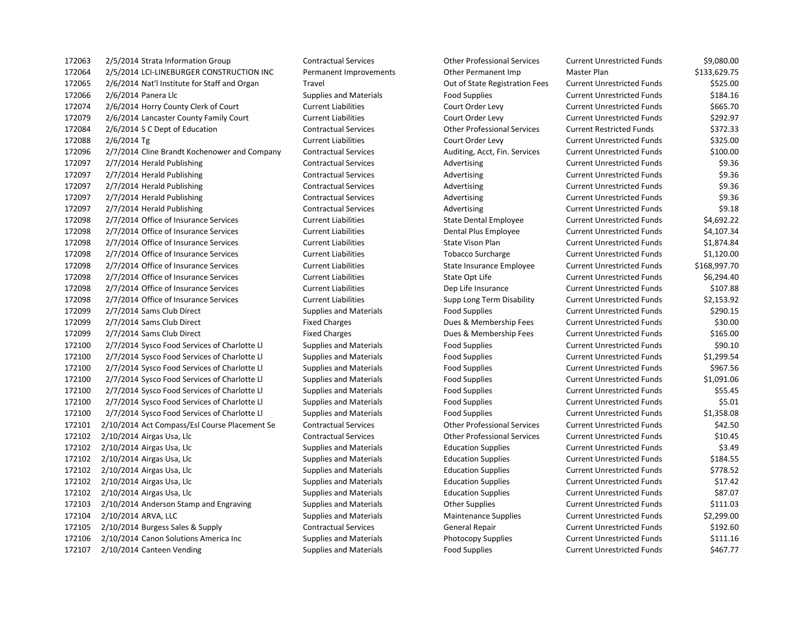172063 2/5/2014 Strata Information Group Contractual Services Other Professional Services Current Unrestricted Funds \$9,080.00 172064 2/5/2014 LCI-LINEBURGER CONSTRUCTION INC Permanent Improvements Other Permanent Imp Master Plan \$133,629.75 172065 2/6/2014 Nat'l Institute for Staff and Organ Travel Out of State Registration Fees Current Unrestricted Funds \$525.00 172066 2/6/2014 Panera Llc Supplies and Materials Food Supplies Current Unrestricted Funds 5184.16 172074 2/6/2014 Horry County Clerk of Court Current Liabilities Court Order Levy Current Unrestricted Funds \$665.70 172079 2/6/2014 Lancaster County Family Court Current Liabilities Court Order Levy Current Unrestricted Funds \$292.97 172084 2/6/2014 S C Dept of Education Contractual Services Other Professional Services Current Restricted Funds \$372.33 172088 2/6/2014 Tg Current Liabilities Court Order Levy Current Unrestricted Funds \$325.00 172096 2/7/2014 Cline Brandt Kochenower and Company Contractual Services Auditing, Acct, Fin. Services Current Unrestricted Funds \$100.00 172097 2/7/2014 Herald Publishing Contractual Services Advertising Current Unrestricted Funds \$9.36 172097 2/7/2014 Herald Publishing Contractual Services Advertising Current Unrestricted Funds \$9.36 172097 2/7/2014 Herald Publishing Contractual Services Advertising Current Unrestricted Funds \$9.36 172097 2/7/2014 Herald Publishing Contractual Services Advertising Current Unrestricted Funds \$9.36 172097 2/7/2014 Herald Publishing Contractual Services Advertising Current Unrestricted Funds \$9.18 172098 2/7/2014 Office of Insurance Services Current Liabilities State Dental Employee Current Unrestricted Funds \$4,692.22 172098 2/7/2014 Office of Insurance Services Current Liabilities Current Dental Plus Employee Current Unrestricted Funds \$4,107.34 172098 2/7/2014 Office of Insurance Services Current Liabilities State Vison Plan Current Unrestricted Funds \$1,874.84 172098 2/7/2014 Office of Insurance Services Current Liabilities Current Cobacco Surcharge Current Unrestricted Funds \$1,120.00 172098 2/7/2014 Office of Insurance Services Current Liabilities State Insurance Employee Current Unrestricted Funds \$168,997.70 172098 2/7/2014 Office of Insurance Services Current Liabilities Current Liabilities State Opt Life Current Unrestricted Funds \$6,294.40 172098 2/7/2014 Office of Insurance Services Current Liabilities Dep Life Insurance Current Unrestricted Funds \$107.88 172098 2/7/2014 Office of Insurance Services Current Liabilities Supp Long Term Disability Current Unrestricted Funds \$2,153.92 172099 2/7/2014 Sams Club Direct Supplies and Materials Food Supplies Food Supplies Current Unrestricted Funds \$290.15 172099 2/7/2014 Sams Club Direct **Fixed Charges** Fixed Charges Dues & Membership Fees Current Unrestricted Funds \$30.00 172099 2/7/2014 Sams Club Direct Fixed Charges Fixed Charges Dues & Membership Fees Current Unrestricted Funds \$165.00 172100 2/7/2014 Sysco Food Services of Charlotte Ll Supplies and Materials Food Supplies Current Unrestricted Funds \$90.10 172100 2/7/2014 Sysco Food Services of Charlotte Ll Supplies and Materials Food Supplies Current Unrestricted Funds \$1,299.54 172100 2/7/2014 Sysco Food Services of Charlotte Ll Supplies and Materials Food Supplies Current Unrestricted Funds \$967.56 172100 2/7/2014 Sysco Food Services of Charlotte Ll Supplies and Materials Food Supplies Current Unrestricted Funds \$1,091.06 172100 2/7/2014 Sysco Food Services of Charlotte Ll Supplies and Materials Food Supplies Current Unrestricted Funds \$55.45 172100 2/7/2014 Sysco Food Services of Charlotte Ll Supplies and Materials Food Supplies Current Unrestricted Funds \$5.01 172100 2/7/2014 Sysco Food Services of Charlotte Ll Supplies and Materials Food Supplies Current Unrestricted Funds \$1,358.08 172101 2/10/2014 Act Compass/Esl Course Placement Se Contractual Services Other Professional Services Current Unrestricted Funds \$42.50 172102 2/10/2014 Airgas Usa, Llc Contractual Services Other Professional Services Current Unrestricted Funds \$10.45 172102 2/10/2014 Airgas Usa, Llc Supplies and Materials Education Supplies Current Unrestricted Funds \$3.49 172102 2/10/2014 Airgas Usa, Llc Supplies and Materials Education Supplies Current Unrestricted Funds \$184.55 172102 2/10/2014 Airgas Usa, Llc Supplies and Materials Education Supplies Current Unrestricted Funds \$778.52 172102 2/10/2014 Airgas Usa, Llc Supplies and Materials Education Supplies Current Unrestricted Funds \$17.42 172102 2/10/2014 Airgas Usa, Llc Supplies and Materials Education Supplies Current Unrestricted Funds \$87.07 172103 2/10/2014 Anderson Stamp and Engraving Supplies and Materials Other Supplies Current Unrestricted Funds \$111.03 172104 2/10/2014 ARVA, LLC Supplies and Materials Maintenance Supplies Current Unrestricted Funds \$2,299.00 172105 2/10/2014 Burgess Sales & Supply Contractual Services General Repair Current Unrestricted Funds \$192.60 172106 2/10/2014 Canon Solutions America Inc Supplies and Materials Photocopy Supplies Current Unrestricted Funds \$111.16 172107 2/10/2014 Canteen Vending Supplies and Materials Food Supplies Food Supplies Current Unrestricted Funds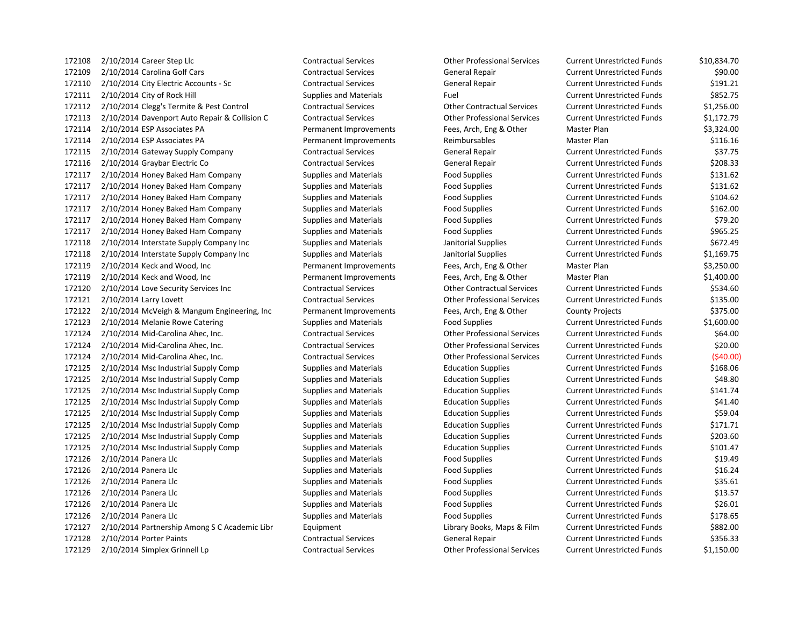| 172108 | $2/10/2014$ Career Step Llc                   | <b>Contractual Services</b>   | <b>Other Professional Services</b> | <b>Current Unrestricted Funds</b> | \$10,834.70 |
|--------|-----------------------------------------------|-------------------------------|------------------------------------|-----------------------------------|-------------|
| 172109 | 2/10/2014 Carolina Golf Cars                  | <b>Contractual Services</b>   | <b>General Repair</b>              | <b>Current Unrestricted Funds</b> | \$90.00     |
| 172110 | 2/10/2014 City Electric Accounts - Sc         | <b>Contractual Services</b>   | <b>General Repair</b>              | <b>Current Unrestricted Funds</b> | \$191.21    |
| 172111 | 2/10/2014 City of Rock Hill                   | <b>Supplies and Materials</b> | Fuel                               | <b>Current Unrestricted Funds</b> | \$852.75    |
| 172112 | 2/10/2014 Clegg's Termite & Pest Control      | <b>Contractual Services</b>   | <b>Other Contractual Services</b>  | <b>Current Unrestricted Funds</b> | \$1,256.00  |
| 172113 | 2/10/2014 Davenport Auto Repair & Collision C | <b>Contractual Services</b>   | <b>Other Professional Services</b> | <b>Current Unrestricted Funds</b> | \$1,172.79  |
| 172114 | 2/10/2014 ESP Associates PA                   | Permanent Improvements        | Fees, Arch, Eng & Other            | Master Plan                       | \$3,324.00  |
| 172114 | 2/10/2014 ESP Associates PA                   | Permanent Improvements        | Reimbursables                      | Master Plan                       | \$116.16    |
| 172115 | 2/10/2014 Gateway Supply Company              | <b>Contractual Services</b>   | <b>General Repair</b>              | <b>Current Unrestricted Funds</b> | \$37.75     |
| 172116 | 2/10/2014 Graybar Electric Co                 | <b>Contractual Services</b>   | General Repair                     | <b>Current Unrestricted Funds</b> | \$208.33    |
| 172117 | 2/10/2014 Honey Baked Ham Company             | <b>Supplies and Materials</b> | <b>Food Supplies</b>               | <b>Current Unrestricted Funds</b> | \$131.62    |
| 172117 | 2/10/2014 Honey Baked Ham Company             | <b>Supplies and Materials</b> | <b>Food Supplies</b>               | <b>Current Unrestricted Funds</b> | \$131.62    |
| 172117 | 2/10/2014 Honey Baked Ham Company             | <b>Supplies and Materials</b> | <b>Food Supplies</b>               | <b>Current Unrestricted Funds</b> | \$104.62    |
| 172117 | 2/10/2014 Honey Baked Ham Company             | <b>Supplies and Materials</b> | <b>Food Supplies</b>               | <b>Current Unrestricted Funds</b> | \$162.00    |
| 172117 | 2/10/2014 Honey Baked Ham Company             | <b>Supplies and Materials</b> | <b>Food Supplies</b>               | <b>Current Unrestricted Funds</b> | \$79.20     |
| 172117 | 2/10/2014 Honey Baked Ham Company             | <b>Supplies and Materials</b> | <b>Food Supplies</b>               | <b>Current Unrestricted Funds</b> | \$965.25    |
| 172118 | 2/10/2014 Interstate Supply Company Inc       | <b>Supplies and Materials</b> | Janitorial Supplies                | <b>Current Unrestricted Funds</b> | \$672.49    |
| 172118 | 2/10/2014 Interstate Supply Company Inc       | <b>Supplies and Materials</b> | Janitorial Supplies                | <b>Current Unrestricted Funds</b> | \$1,169.75  |
| 172119 | 2/10/2014 Keck and Wood, Inc                  | Permanent Improvements        | Fees, Arch, Eng & Other            | Master Plan                       | \$3,250.00  |
| 172119 | 2/10/2014 Keck and Wood, Inc                  | Permanent Improvements        | Fees, Arch, Eng & Other            | Master Plan                       | \$1,400.00  |
| 172120 | 2/10/2014 Love Security Services Inc          | <b>Contractual Services</b>   | <b>Other Contractual Services</b>  | <b>Current Unrestricted Funds</b> | \$534.60    |
| 172121 | 2/10/2014 Larry Lovett                        | <b>Contractual Services</b>   | <b>Other Professional Services</b> | <b>Current Unrestricted Funds</b> | \$135.00    |
| 172122 | 2/10/2014 McVeigh & Mangum Engineering, Inc   | Permanent Improvements        | Fees, Arch, Eng & Other            | <b>County Projects</b>            | \$375.00    |
| 172123 | 2/10/2014 Melanie Rowe Catering               | <b>Supplies and Materials</b> | <b>Food Supplies</b>               | <b>Current Unrestricted Funds</b> | \$1,600.00  |
| 172124 | 2/10/2014 Mid-Carolina Ahec, Inc.             | <b>Contractual Services</b>   | <b>Other Professional Services</b> | <b>Current Unrestricted Funds</b> | \$64.00     |
| 172124 | 2/10/2014 Mid-Carolina Ahec, Inc.             | <b>Contractual Services</b>   | <b>Other Professional Services</b> | <b>Current Unrestricted Funds</b> | \$20.00     |
| 172124 | 2/10/2014 Mid-Carolina Ahec, Inc.             | <b>Contractual Services</b>   | <b>Other Professional Services</b> | <b>Current Unrestricted Funds</b> | (540.00)    |
| 172125 | 2/10/2014 Msc Industrial Supply Comp          | <b>Supplies and Materials</b> | <b>Education Supplies</b>          | <b>Current Unrestricted Funds</b> | \$168.06    |
| 172125 | 2/10/2014 Msc Industrial Supply Comp          | <b>Supplies and Materials</b> | <b>Education Supplies</b>          | <b>Current Unrestricted Funds</b> | \$48.80     |
| 172125 | 2/10/2014 Msc Industrial Supply Comp          | <b>Supplies and Materials</b> | <b>Education Supplies</b>          | <b>Current Unrestricted Funds</b> | \$141.74    |
| 172125 | 2/10/2014 Msc Industrial Supply Comp          | <b>Supplies and Materials</b> | <b>Education Supplies</b>          | <b>Current Unrestricted Funds</b> | \$41.40     |
| 172125 | 2/10/2014 Msc Industrial Supply Comp          | <b>Supplies and Materials</b> | <b>Education Supplies</b>          | <b>Current Unrestricted Funds</b> | \$59.04     |
| 172125 | 2/10/2014 Msc Industrial Supply Comp          | <b>Supplies and Materials</b> | <b>Education Supplies</b>          | <b>Current Unrestricted Funds</b> | \$171.71    |
| 172125 | 2/10/2014 Msc Industrial Supply Comp          | <b>Supplies and Materials</b> | <b>Education Supplies</b>          | <b>Current Unrestricted Funds</b> | \$203.60    |
| 172125 | 2/10/2014 Msc Industrial Supply Comp          | <b>Supplies and Materials</b> | <b>Education Supplies</b>          | <b>Current Unrestricted Funds</b> | \$101.47    |
| 172126 | 2/10/2014 Panera Llc                          | <b>Supplies and Materials</b> | <b>Food Supplies</b>               | <b>Current Unrestricted Funds</b> | \$19.49     |
| 172126 | 2/10/2014 Panera Llc                          | <b>Supplies and Materials</b> | <b>Food Supplies</b>               | <b>Current Unrestricted Funds</b> | \$16.24     |
| 172126 | 2/10/2014 Panera Llc                          | <b>Supplies and Materials</b> | <b>Food Supplies</b>               | <b>Current Unrestricted Funds</b> | \$35.61     |
| 172126 | 2/10/2014 Panera Llc                          | <b>Supplies and Materials</b> | <b>Food Supplies</b>               | <b>Current Unrestricted Funds</b> | \$13.57     |
| 172126 | 2/10/2014 Panera Llc                          | <b>Supplies and Materials</b> | <b>Food Supplies</b>               | <b>Current Unrestricted Funds</b> | \$26.01     |
| 172126 | 2/10/2014 Panera Llc                          | <b>Supplies and Materials</b> | <b>Food Supplies</b>               | <b>Current Unrestricted Funds</b> | \$178.65    |
| 172127 | 2/10/2014 Partnership Among S C Academic Libr | Equipment                     | Library Books, Maps & Film         | <b>Current Unrestricted Funds</b> | \$882.00    |
| 172128 | 2/10/2014 Porter Paints                       | <b>Contractual Services</b>   | General Repair                     | <b>Current Unrestricted Funds</b> | \$356.33    |
| 172129 | 2/10/2014 Simplex Grinnell Lp                 | <b>Contractual Services</b>   | <b>Other Professional Services</b> | <b>Current Unrestricted Funds</b> | \$1,150.00  |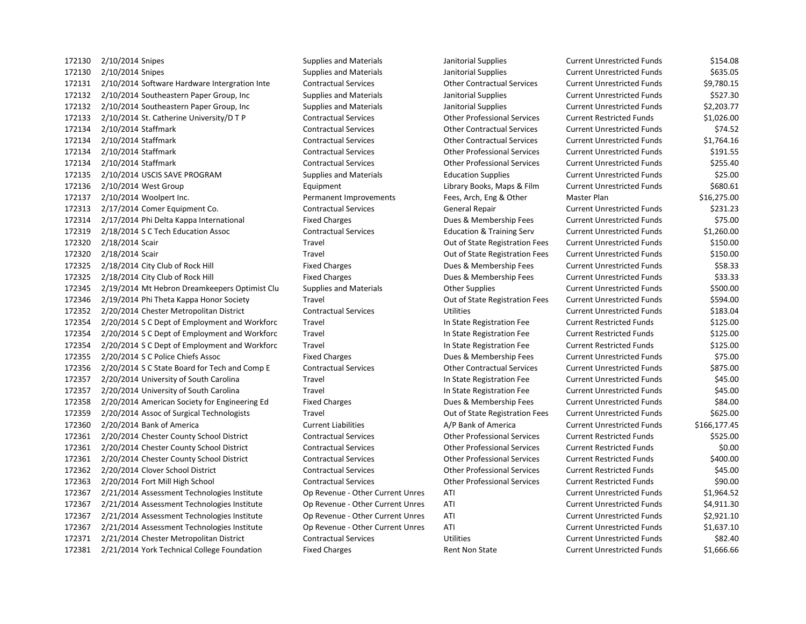172130 2/10/2014 Snipes Supplies and Materials Janitorial Supplies Current Unrestricted Funds \$154.08 2/10/2014 Snipes Supplies and Materials Janitorial Supplies Current Unrestricted Funds \$635.05 2/10/2014 Software Hardware Intergration Inte Contractual Services Other Contractual Services Current Unrestricted Funds \$9,780.15 2/10/2014 Southeastern Paper Group, Inc Supplies and Materials Janitorial Supplies Current Unrestricted Funds \$527.30 172132 2/10/2014 Southeastern Paper Group, Inc Supplies and Materials Janitorial Supplies Current Unrestricted Funds \$2,203.77 2/10/2014 St. Catherine University/D T P Contractual Services Other Professional Services Current Restricted Funds \$1,026.00 2/10/2014 Staffmark Contractual Services Other Contractual Services Current Unrestricted Funds \$74.52 2/10/2014 Staffmark Contractual Services Other Contractual Services Current Unrestricted Funds \$1,764.16 2/10/2014 Staffmark Contractual Services Other Professional Services Current Unrestricted Funds \$191.55 2/10/2014 Staffmark Contractual Services Other Professional Services Current Unrestricted Funds \$255.40 2/10/2014 USCIS SAVE PROGRAM Supplies and Materials Education Supplies Current Unrestricted Funds \$25.00 172136 2/10/2014 West Group **Equipment** Equipment Library Books, Maps & Film Current Unrestricted Funds \$680.61 2/10/2014 Woolpert Inc. Permanent Improvements Fees, Arch, Eng & Other Master Plan \$16,275.00 172313 2/17/2014 Comer Equipment Co. Contractual Services General Repair Current Unrestricted Funds \$231.23 2/17/2014 Phi Delta Kappa International Fixed Charges Dues & Membership Fees Current Unrestricted Funds \$75.00 2/18/2014 S C Tech Education Assoc Contractual Services Education & Training Serv Current Unrestricted Funds \$1,260.00 2/18/2014 Scair Travel Out of State Registration Fees Current Unrestricted Funds \$150.00 172320 2/18/2014 Scair Samuel Travel Travel Travel Cut of State Registration Fees Current Unrestricted Funds \$150.00 2/18/2014 City Club of Rock Hill Fixed Charges Dues & Membership Fees Current Unrestricted Funds \$58.33 172325 2/18/2014 City Club of Rock Hill **Fixed Charges** Fixed Charges Dues & Membership Fees Current Unrestricted Funds \$33.33 2/19/2014 Mt Hebron Dreamkeepers Optimist Clu Supplies and Materials Other Supplies Current Unrestricted Funds \$500.00 2/19/2014 Phi Theta Kappa Honor Society Travel Out of State Registration Fees Current Unrestricted Funds \$594.00 2/20/2014 Chester Metropolitan District Contractual Services Utilities Current Unrestricted Funds \$183.04 2/20/2014 S C Dept of Employment and Workforc Travel In State Registration Fee Current Restricted Funds \$125.00 2/20/2014 S C Dept of Employment and Workforc Travel In State Registration Fee Current Restricted Funds \$125.00 2/20/2014 S C Dept of Employment and Workforc Travel In State Registration Fee Current Restricted Funds \$125.00 2/20/2014 S C Police Chiefs Assoc Fixed Charges Dues & Membership Fees Current Unrestricted Funds \$75.00 2/20/2014 S C State Board for Tech and Comp E Contractual Services Other Contractual Services Current Unrestricted Funds \$875.00 2/20/2014 University of South Carolina Travel In State Registration Fee Current Unrestricted Funds \$45.00 2/20/2014 University of South Carolina Travel In State Registration Fee Current Unrestricted Funds \$45.00 2/20/2014 American Society for Engineering Ed Fixed Charges Dues & Membership Fees Current Unrestricted Funds \$84.00 2/20/2014 Assoc of Surgical Technologists Travel Out of State Registration Fees Current Unrestricted Funds \$625.00 2/20/2014 Bank of America Current Liabilities A/P Bank of America Current Unrestricted Funds \$166,177.45 2/20/2014 Chester County School District Contractual Services Other Professional Services Current Restricted Funds \$525.00 2/20/2014 Chester County School District Contractual Services Other Professional Services Current Restricted Funds \$0.00 2/20/2014 Chester County School District Contractual Services Other Professional Services Current Restricted Funds \$400.00 2/20/2014 Clover School District Contractual Services Other Professional Services Current Restricted Funds \$45.00 2/20/2014 Fort Mill High School Contractual Services Other Professional Services Current Restricted Funds \$90.00 2/21/2014 Assessment Technologies Institute Op Revenue - Other Current Unres ATI Current Unrestricted Funds \$1,964.52 2/21/2014 Assessment Technologies Institute Op Revenue - Other Current Unres ATI Current Unrestricted Funds \$4,911.30 2/21/2014 Assessment Technologies Institute Op Revenue - Other Current Unres ATI Current Unrestricted Funds \$2,921.10 2/21/2014 Assessment Technologies Institute Op Revenue - Other Current Unres ATI Current Unrestricted Funds \$1,637.10 2/21/2014 Chester Metropolitan District Contractual Services Utilities Current Unrestricted Funds \$82.40 172381 2/21/2014 York Technical College Foundation Fixed Charges Rent Non State Current Unrestricted Funds \$1,666.66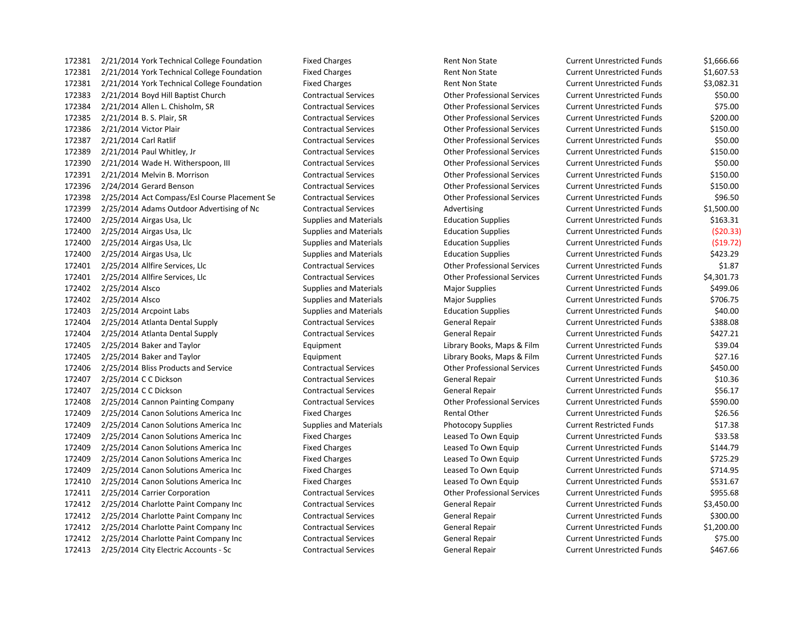172381 2/21/2014 York Technical College Foundation Fixed Charges Rent Non State Current Unrestricted Funds \$1,666.66 172381 2/21/2014 York Technical College Foundation Fixed Charges Rent Non State Current Unrestricted Funds \$1,607.53 172381 2/21/2014 York Technical College Foundation Fixed Charges Rent Non State Current Unrestricted Funds \$3,082.31 2/21/2014 Boyd Hill Baptist Church Contractual Services Other Professional Services Current Unrestricted Funds \$50.00 2/21/2014 Allen L. Chisholm, SR Contractual Services Other Professional Services Current Unrestricted Funds \$75.00 2/21/2014 B. S. Plair, SR Contractual Services Other Professional Services Current Unrestricted Funds \$200.00 2/21/2014 Victor Plair Contractual Services Other Professional Services Current Unrestricted Funds \$150.00 2/21/2014 Carl Ratlif Contractual Services Other Professional Services Current Unrestricted Funds \$50.00 2/21/2014 Paul Whitley, Jr Contractual Services Other Professional Services Current Unrestricted Funds \$150.00 2/21/2014 Wade H. Witherspoon, III Contractual Services Other Professional Services Current Unrestricted Funds \$50.00 2/21/2014 Melvin B. Morrison Contractual Services Other Professional Services Current Unrestricted Funds \$150.00 2/24/2014 Gerard Benson Contractual Services Other Professional Services Current Unrestricted Funds \$150.00 2/25/2014 Act Compass/Esl Course Placement Se Contractual Services Other Professional Services Current Unrestricted Funds \$96.50 172399 2/25/2014 Adams Outdoor Advertising of Nc Contractual Services Advertising Current Unrestricted Funds \$1,500.00 172400 2/25/2014 Airgas Usa, Llc Supplies and Materials Education Supplies Current Unrestricted Funds \$163.31 2/25/2014 Airgas Usa, Llc Supplies and Materials Education Supplies Current Unrestricted Funds (\$20.33) 2/25/2014 Airgas Usa, Llc Supplies and Materials Education Supplies Current Unrestricted Funds (\$19.72) 172400 2/25/2014 Airgas Usa, Llc Supplies and Materials Education Supplies Current Unrestricted Funds \$423.29 2/25/2014 Allfire Services, Llc Contractual Services Other Professional Services Current Unrestricted Funds \$1.87 2/25/2014 Allfire Services, Llc Contractual Services Other Professional Services Current Unrestricted Funds \$4,301.73 172402 2/25/2014 Alsco Supplies and Materials Major Supplies Magnetics Current Unrestricted Funds 5499.06 172402 2/25/2014 Alsco Supplies and Materials Major Supplies Magnetics Current Unrestricted Funds \$706.75 2/25/2014 Arcpoint Labs Supplies and Materials Education Supplies Current Unrestricted Funds \$40.00 2/25/2014 Atlanta Dental Supply Contractual Services General Repair Current Unrestricted Funds \$388.08 2/25/2014 Atlanta Dental Supply Contractual Services General Repair Current Unrestricted Funds \$427.21 2/25/2014 Baker and Taylor Equipment Library Books, Maps & Film Current Unrestricted Funds \$39.04 2/25/2014 Baker and Taylor Equipment Library Books, Maps & Film Current Unrestricted Funds \$27.16 2/25/2014 Bliss Products and Service Contractual Services Other Professional Services Current Unrestricted Funds \$450.00 172407 2/25/2014 CC Dickson Contractual Services General Repair Current Unrestricted Funds \$10.36 172407 2/25/2014 CC Dickson **Contractual Services** General Repair Current Unrestricted Funds \$56.17 2/25/2014 Cannon Painting Company Contractual Services Other Professional Services Current Unrestricted Funds \$590.00 172409 2/25/2014 Canon Solutions America Inc Fixed Charges Rental Other Current Unrestricted Funds \$26.56 172409 2/25/2014 Canon Solutions America Inc Supplies and Materials Photocopy Supplies Current Restricted Funds \$17.38 172409 2/25/2014 Canon Solutions America Inc Fixed Charges Leased To Own Equip Current Unrestricted Funds \$33.58 2/25/2014 Canon Solutions America Inc Fixed Charges Leased To Own Equip Current Unrestricted Funds \$144.79 2/25/2014 Canon Solutions America Inc Fixed Charges Leased To Own Equip Current Unrestricted Funds \$725.29 2/25/2014 Canon Solutions America Inc Fixed Charges Leased To Own Equip Current Unrestricted Funds \$714.95 172410 2/25/2014 Canon Solutions America Inc Fixed Charges Leased To Own Equip Current Unrestricted Funds \$531.67 2/25/2014 Carrier Corporation Contractual Services Other Professional Services Current Unrestricted Funds \$955.68 2/25/2014 Charlotte Paint Company Inc Contractual Services General Repair Current Unrestricted Funds \$3,450.00 2/25/2014 Charlotte Paint Company Inc Contractual Services General Repair Current Unrestricted Funds \$300.00 2/25/2014 Charlotte Paint Company Inc Contractual Services General Repair Current Unrestricted Funds \$1,200.00 2/25/2014 Charlotte Paint Company Inc Contractual Services General Repair Current Unrestricted Funds \$75.00 2/25/2014 City Electric Accounts - Sc Contractual Services General Repair Current Unrestricted Funds \$467.66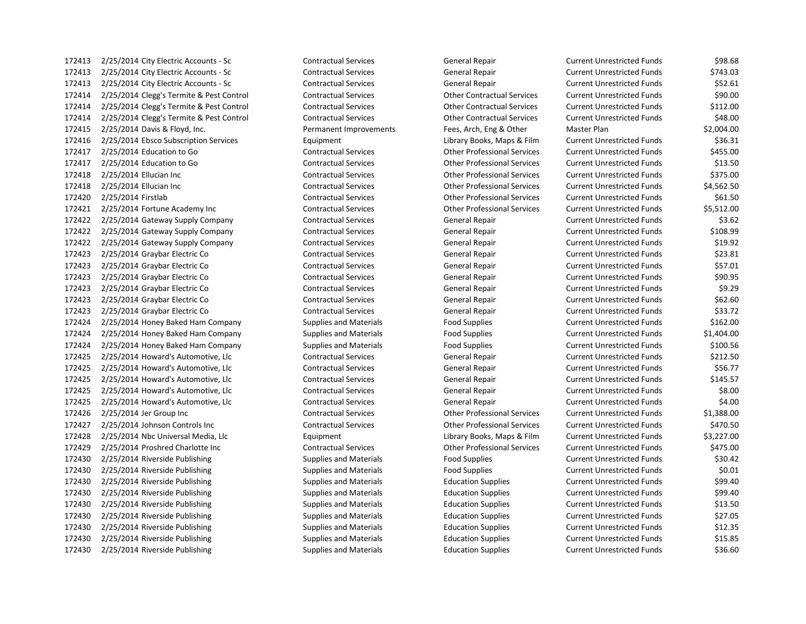2/25/2014 City Electric Accounts - Sc Contractual Services General Repair Current Unrestricted Funds \$743.03 2/25/2014 City Electric Accounts - Sc Contractual Services General Repair Current Unrestricted Funds \$52.61 2/25/2014 Clegg's Termite & Pest Control Contractual Services Other Contractual Services Current Unrestricted Funds \$90.00 2/25/2014 Clegg's Termite & Pest Control Contractual Services Other Contractual Services Current Unrestricted Funds \$112.00 2/25/2014 Clegg's Termite & Pest Control Contractual Services Other Contractual Services Current Unrestricted Funds \$48.00 2/25/2014 Davis & Floyd, Inc. Permanent Improvements Fees, Arch, Eng & Other Master Plan \$2,004.00 2/25/2014 Ebsco Subscription Services Equipment Library Books, Maps & Film Current Unrestricted Funds \$36.31 2/25/2014 Education to Go Contractual Services Other Professional Services Current Unrestricted Funds \$455.00 2/25/2014 Education to Go Contractual Services Other Professional Services Current Unrestricted Funds \$13.50 2/25/2014 Ellucian Inc Contractual Services Other Professional Services Current Unrestricted Funds \$375.00 2/25/2014 Ellucian Inc Contractual Services Other Professional Services Current Unrestricted Funds \$4,562.50 2/25/2014 Firstlab Contractual Services Other Professional Services Current Unrestricted Funds \$61.50 2/25/2014 Fortune Academy Inc Contractual Services Other Professional Services Current Unrestricted Funds \$5,512.00 2/25/2014 Gateway Supply Company Contractual Services General Repair Current Unrestricted Funds \$3.62 2/25/2014 Gateway Supply Company Contractual Services General Repair Current Unrestricted Funds \$108.99 2/25/2014 Gateway Supply Company Contractual Services General Repair Current Unrestricted Funds \$19.92 172423 2/25/2014 Graybar Electric Co Contractual Services General Repair Current Unrestricted Funds \$23.81 2/25/2014 Graybar Electric Co Contractual Services General Repair Current Unrestricted Funds \$57.01 172423 2/25/2014 Graybar Electric Co Contractual Services General Repair Current Unrestricted Funds \$90.95 2/25/2014 Graybar Electric Co Contractual Services General Repair Current Unrestricted Funds \$9.29 2/25/2014 Graybar Electric Co Contractual Services General Repair Current Unrestricted Funds \$62.60 2/25/2014 Graybar Electric Co Contractual Services General Repair Current Unrestricted Funds \$33.72 2/25/2014 Honey Baked Ham Company Supplies and Materials Food Supplies Current Unrestricted Funds \$162.00 2/25/2014 Honey Baked Ham Company Supplies and Materials Food Supplies Current Unrestricted Funds \$1,404.00 172424 2/25/2014 Honey Baked Ham Company Supplies and Materials Food Supplies Food Supplies Current Unrestricted Funds \$100.56 172425 2/25/2014 Howard's Automotive, Llc Contractual Services General Repair Current Unrestricted Funds \$212.50 2/25/2014 Howard's Automotive, Llc Contractual Services General Repair Current Unrestricted Funds \$56.77 2/25/2014 Howard's Automotive, Llc Contractual Services General Repair Current Unrestricted Funds \$145.57 2/25/2014 Howard's Automotive, Llc Contractual Services General Repair Current Unrestricted Funds \$8.00 2/25/2014 Howard's Automotive, Llc Contractual Services General Repair Current Unrestricted Funds \$4.00 2/25/2014 Jer Group Inc Contractual Services Other Professional Services Current Unrestricted Funds \$1,388.00 2/25/2014 Johnson Controls Inc Contractual Services Other Professional Services Current Unrestricted Funds \$470.50 2/25/2014 Nbc Universal Media, Llc Equipment Library Books, Maps & Film Current Unrestricted Funds \$3,227.00 2/25/2014 Proshred Charlotte Inc Contractual Services Other Professional Services Current Unrestricted Funds \$475.00 172430 2/25/2014 Riverside Publishing Supplies and Materials Food Supplies Food Supplies Current Unrestricted Funds \$30.42 172430 2/25/2014 Riverside Publishing Supplies and Materials Food Supplies Food Supplies Current Unrestricted Funds \$0.01 172430 2/25/2014 Riverside Publishing Supplies and Materials Education Supplies Current Unrestricted Funds \$99.40 172430 2/25/2014 Riverside Publishing Supplies and Materials Education Supplies Current Unrestricted Funds \$99.40 172430 2/25/2014 Riverside Publishing Supplies and Materials Education Supplies Current Unrestricted Funds \$13.50 2/25/2014 Riverside Publishing Supplies and Materials Education Supplies Current Unrestricted Funds \$27.05 2/25/2014 Riverside Publishing Supplies and Materials Education Supplies Current Unrestricted Funds \$12.35 172430 2/25/2014 Riverside Publishing Supplies and Materials Education Supplies Current Unrestricted Funds \$15.85 172430 2/25/2014 Riverside Publishing Supplies and Materials Education Supplies Current Unrestricted Funds \$36.60

2/25/2014 City Electric Accounts - Sc Contractual Services General Repair Current Unrestricted Funds \$98.68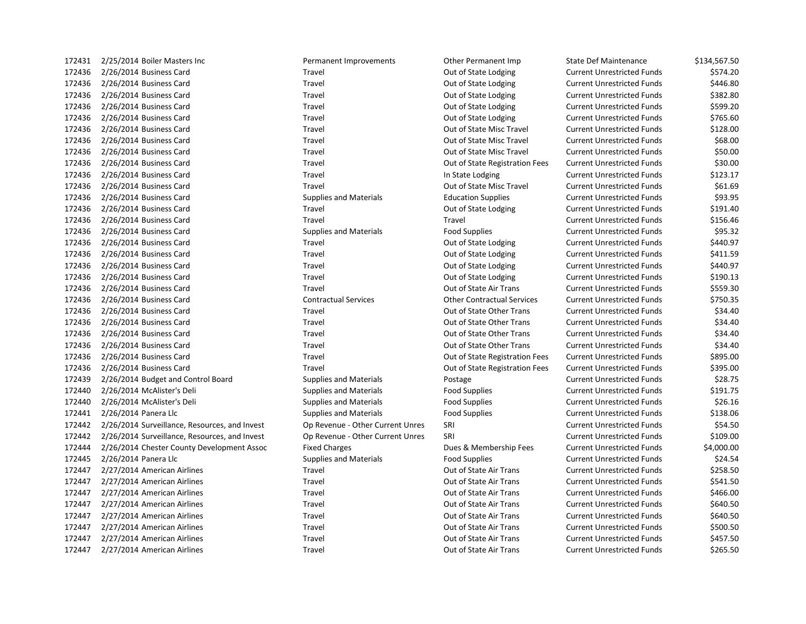| 172431 | 2/25/2014 Boiler Masters Inc                  | Permanent Improvements           | Other Permanent Imp               | <b>State Def Maintenance</b>      | \$134,567.50 |
|--------|-----------------------------------------------|----------------------------------|-----------------------------------|-----------------------------------|--------------|
| 172436 | 2/26/2014 Business Card                       | Travel                           | Out of State Lodging              | <b>Current Unrestricted Funds</b> | \$574.20     |
| 172436 | 2/26/2014 Business Card                       | Travel                           | Out of State Lodging              | <b>Current Unrestricted Funds</b> | \$446.80     |
| 172436 | 2/26/2014 Business Card                       | Travel                           | Out of State Lodging              | <b>Current Unrestricted Funds</b> | \$382.80     |
| 172436 | 2/26/2014 Business Card                       | Travel                           | Out of State Lodging              | <b>Current Unrestricted Funds</b> | \$599.20     |
| 172436 | 2/26/2014 Business Card                       | Travel                           | Out of State Lodging              | <b>Current Unrestricted Funds</b> | \$765.60     |
| 172436 | 2/26/2014 Business Card                       | Travel                           | Out of State Misc Travel          | <b>Current Unrestricted Funds</b> | \$128.00     |
| 172436 | 2/26/2014 Business Card                       | Travel                           | Out of State Misc Travel          | <b>Current Unrestricted Funds</b> | \$68.00      |
| 172436 | 2/26/2014 Business Card                       | Travel                           | Out of State Misc Travel          | <b>Current Unrestricted Funds</b> | \$50.00      |
| 172436 | 2/26/2014 Business Card                       | Travel                           | Out of State Registration Fees    | <b>Current Unrestricted Funds</b> | \$30.00      |
| 172436 | 2/26/2014 Business Card                       | Travel                           | In State Lodging                  | <b>Current Unrestricted Funds</b> | \$123.17     |
| 172436 | 2/26/2014 Business Card                       | Travel                           | Out of State Misc Travel          | <b>Current Unrestricted Funds</b> | \$61.69      |
| 172436 | 2/26/2014 Business Card                       | <b>Supplies and Materials</b>    | <b>Education Supplies</b>         | <b>Current Unrestricted Funds</b> | \$93.95      |
| 172436 | 2/26/2014 Business Card                       | Travel                           | Out of State Lodging              | <b>Current Unrestricted Funds</b> | \$191.40     |
| 172436 | 2/26/2014 Business Card                       | Travel                           | Travel                            | <b>Current Unrestricted Funds</b> | \$156.46     |
| 172436 | 2/26/2014 Business Card                       | <b>Supplies and Materials</b>    | <b>Food Supplies</b>              | <b>Current Unrestricted Funds</b> | \$95.32      |
| 172436 | 2/26/2014 Business Card                       | Travel                           | Out of State Lodging              | <b>Current Unrestricted Funds</b> | \$440.97     |
| 172436 | 2/26/2014 Business Card                       | Travel                           | Out of State Lodging              | <b>Current Unrestricted Funds</b> | \$411.59     |
| 172436 | 2/26/2014 Business Card                       | Travel                           | Out of State Lodging              | <b>Current Unrestricted Funds</b> | \$440.97     |
| 172436 | 2/26/2014 Business Card                       | Travel                           | Out of State Lodging              | <b>Current Unrestricted Funds</b> | \$190.13     |
| 172436 | 2/26/2014 Business Card                       | Travel                           | Out of State Air Trans            | <b>Current Unrestricted Funds</b> | \$559.30     |
| 172436 | 2/26/2014 Business Card                       | <b>Contractual Services</b>      | <b>Other Contractual Services</b> | <b>Current Unrestricted Funds</b> | \$750.35     |
| 172436 | 2/26/2014 Business Card                       | Travel                           | Out of State Other Trans          | <b>Current Unrestricted Funds</b> | \$34.40      |
| 172436 | 2/26/2014 Business Card                       | Travel                           | Out of State Other Trans          | <b>Current Unrestricted Funds</b> | \$34.40      |
| 172436 | 2/26/2014 Business Card                       | Travel                           | Out of State Other Trans          | <b>Current Unrestricted Funds</b> | \$34.40      |
| 172436 | 2/26/2014 Business Card                       | Travel                           | Out of State Other Trans          | <b>Current Unrestricted Funds</b> | \$34.40      |
| 172436 | 2/26/2014 Business Card                       | Travel                           | Out of State Registration Fees    | <b>Current Unrestricted Funds</b> | \$895.00     |
| 172436 | 2/26/2014 Business Card                       | Travel                           | Out of State Registration Fees    | <b>Current Unrestricted Funds</b> | \$395.00     |
| 172439 | 2/26/2014 Budget and Control Board            | <b>Supplies and Materials</b>    | Postage                           | <b>Current Unrestricted Funds</b> | \$28.75      |
| 172440 | 2/26/2014 McAlister's Deli                    | <b>Supplies and Materials</b>    | <b>Food Supplies</b>              | <b>Current Unrestricted Funds</b> | \$191.75     |
| 172440 | 2/26/2014 McAlister's Deli                    | <b>Supplies and Materials</b>    | <b>Food Supplies</b>              | <b>Current Unrestricted Funds</b> | \$26.16      |
| 172441 | 2/26/2014 Panera Llc                          | <b>Supplies and Materials</b>    | <b>Food Supplies</b>              | <b>Current Unrestricted Funds</b> | \$138.06     |
| 172442 | 2/26/2014 Surveillance, Resources, and Invest | Op Revenue - Other Current Unres | SRI                               | <b>Current Unrestricted Funds</b> | \$54.50      |
| 172442 | 2/26/2014 Surveillance, Resources, and Invest | Op Revenue - Other Current Unres | SRI                               | <b>Current Unrestricted Funds</b> | \$109.00     |
| 172444 | 2/26/2014 Chester County Development Assoc    | <b>Fixed Charges</b>             | Dues & Membership Fees            | <b>Current Unrestricted Funds</b> | \$4,000.00   |
| 172445 | 2/26/2014 Panera Llc                          | <b>Supplies and Materials</b>    | <b>Food Supplies</b>              | <b>Current Unrestricted Funds</b> | \$24.54      |
| 172447 | 2/27/2014 American Airlines                   | Travel                           | Out of State Air Trans            | <b>Current Unrestricted Funds</b> | \$258.50     |
| 172447 | 2/27/2014 American Airlines                   | Travel                           | Out of State Air Trans            | <b>Current Unrestricted Funds</b> | \$541.50     |
| 172447 | 2/27/2014 American Airlines                   | Travel                           | Out of State Air Trans            | <b>Current Unrestricted Funds</b> | \$466.00     |
| 172447 | 2/27/2014 American Airlines                   | Travel                           | Out of State Air Trans            | <b>Current Unrestricted Funds</b> | \$640.50     |
| 172447 | 2/27/2014 American Airlines                   | Travel                           | Out of State Air Trans            | <b>Current Unrestricted Funds</b> | \$640.50     |
| 172447 | 2/27/2014 American Airlines                   | Travel                           | Out of State Air Trans            | <b>Current Unrestricted Funds</b> | \$500.50     |
| 172447 | 2/27/2014 American Airlines                   | Travel                           | Out of State Air Trans            | <b>Current Unrestricted Funds</b> | \$457.50     |
| 172447 | 2/27/2014 American Airlines                   | Travel                           | Out of State Air Trans            | <b>Current Unrestricted Funds</b> | \$265.50     |
|        |                                               |                                  |                                   |                                   |              |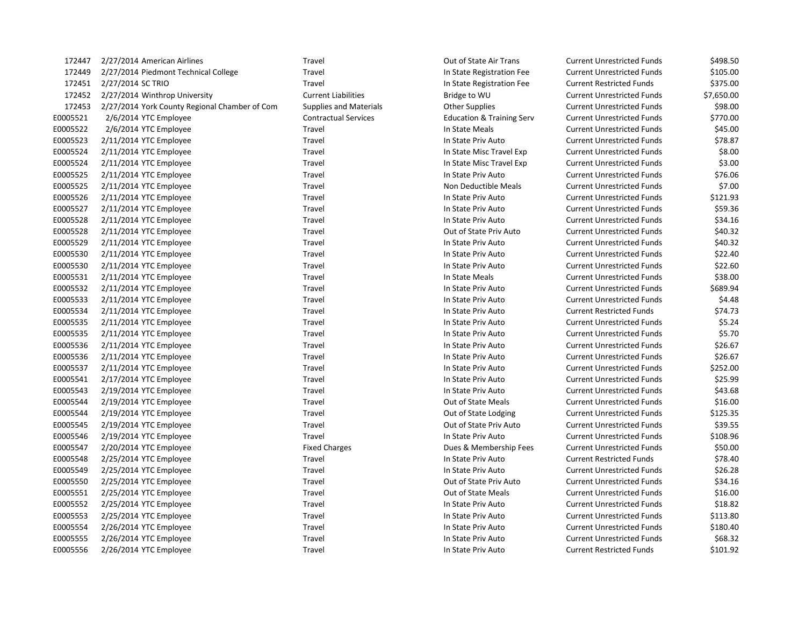| 172447   | 2/27/2014 American Airlines                   | Travel                        | Out of State Air Trans               | <b>Current Unrestricted Funds</b> | \$498.50   |
|----------|-----------------------------------------------|-------------------------------|--------------------------------------|-----------------------------------|------------|
| 172449   | 2/27/2014 Piedmont Technical College          | Travel                        | In State Registration Fee            | <b>Current Unrestricted Funds</b> | \$105.00   |
| 172451   | 2/27/2014 SC TRIO                             | Travel                        | In State Registration Fee            | <b>Current Restricted Funds</b>   | \$375.00   |
| 172452   | 2/27/2014 Winthrop University                 | <b>Current Liabilities</b>    | Bridge to WU                         | <b>Current Unrestricted Funds</b> | \$7,650.00 |
| 172453   | 2/27/2014 York County Regional Chamber of Com | <b>Supplies and Materials</b> | <b>Other Supplies</b>                | <b>Current Unrestricted Funds</b> | \$98.00    |
| E0005521 | 2/6/2014 YTC Employee                         | <b>Contractual Services</b>   | <b>Education &amp; Training Serv</b> | <b>Current Unrestricted Funds</b> | \$770.00   |
| E0005522 | 2/6/2014 YTC Employee                         | Travel                        | In State Meals                       | <b>Current Unrestricted Funds</b> | \$45.00    |
| E0005523 | 2/11/2014 YTC Employee                        | Travel                        | In State Priv Auto                   | <b>Current Unrestricted Funds</b> | \$78.87    |
| E0005524 | 2/11/2014 YTC Employee                        | Travel                        | In State Misc Travel Exp             | <b>Current Unrestricted Funds</b> | \$8.00     |
| E0005524 | 2/11/2014 YTC Employee                        | Travel                        | In State Misc Travel Exp             | <b>Current Unrestricted Funds</b> | \$3.00     |
| E0005525 | 2/11/2014 YTC Employee                        | Travel                        | In State Priv Auto                   | <b>Current Unrestricted Funds</b> | \$76.06    |
| E0005525 | 2/11/2014 YTC Employee                        | Travel                        | Non Deductible Meals                 | <b>Current Unrestricted Funds</b> | \$7.00     |
| E0005526 | 2/11/2014 YTC Employee                        | Travel                        | In State Priv Auto                   | <b>Current Unrestricted Funds</b> | \$121.93   |
| E0005527 | 2/11/2014 YTC Employee                        | Travel                        | In State Priv Auto                   | <b>Current Unrestricted Funds</b> | \$59.36    |
| E0005528 | 2/11/2014 YTC Employee                        | Travel                        | In State Priv Auto                   | <b>Current Unrestricted Funds</b> | \$34.16    |
| E0005528 | 2/11/2014 YTC Employee                        | Travel                        | Out of State Priv Auto               | <b>Current Unrestricted Funds</b> | \$40.32    |
| E0005529 | 2/11/2014 YTC Employee                        | Travel                        | In State Priv Auto                   | <b>Current Unrestricted Funds</b> | \$40.32    |
| E0005530 | 2/11/2014 YTC Employee                        | Travel                        | In State Priv Auto                   | <b>Current Unrestricted Funds</b> | \$22.40    |
| E0005530 | 2/11/2014 YTC Employee                        | Travel                        | In State Priv Auto                   | <b>Current Unrestricted Funds</b> | \$22.60    |
| E0005531 | 2/11/2014 YTC Employee                        | Travel                        | In State Meals                       | <b>Current Unrestricted Funds</b> | \$38.00    |
| E0005532 | 2/11/2014 YTC Employee                        | Travel                        | In State Priv Auto                   | <b>Current Unrestricted Funds</b> | \$689.94   |
| E0005533 | 2/11/2014 YTC Employee                        | Travel                        | In State Priv Auto                   | <b>Current Unrestricted Funds</b> | \$4.48     |
| E0005534 | 2/11/2014 YTC Employee                        | Travel                        | In State Priv Auto                   | <b>Current Restricted Funds</b>   | \$74.73    |
| E0005535 | 2/11/2014 YTC Employee                        | Travel                        | In State Priv Auto                   | <b>Current Unrestricted Funds</b> | \$5.24     |
| E0005535 | 2/11/2014 YTC Employee                        | Travel                        | In State Priv Auto                   | <b>Current Unrestricted Funds</b> | \$5.70     |
| E0005536 | 2/11/2014 YTC Employee                        | Travel                        | In State Priv Auto                   | <b>Current Unrestricted Funds</b> | \$26.67    |
| E0005536 | 2/11/2014 YTC Employee                        | Travel                        | In State Priv Auto                   | <b>Current Unrestricted Funds</b> | \$26.67    |
| E0005537 | 2/11/2014 YTC Employee                        | Travel                        | In State Priv Auto                   | <b>Current Unrestricted Funds</b> | \$252.00   |
| E0005541 | 2/17/2014 YTC Employee                        | Travel                        | In State Priv Auto                   | <b>Current Unrestricted Funds</b> | \$25.99    |
| E0005543 | 2/19/2014 YTC Employee                        | Travel                        | In State Priv Auto                   | <b>Current Unrestricted Funds</b> | \$43.68    |
| E0005544 | 2/19/2014 YTC Employee                        | Travel                        | Out of State Meals                   | <b>Current Unrestricted Funds</b> | \$16.00    |
| E0005544 | 2/19/2014 YTC Employee                        | Travel                        | Out of State Lodging                 | <b>Current Unrestricted Funds</b> | \$125.35   |
| E0005545 | 2/19/2014 YTC Employee                        | Travel                        | Out of State Priv Auto               | <b>Current Unrestricted Funds</b> | \$39.55    |
| E0005546 | 2/19/2014 YTC Employee                        | Travel                        | In State Priv Auto                   | <b>Current Unrestricted Funds</b> | \$108.96   |
| E0005547 | 2/20/2014 YTC Employee                        | <b>Fixed Charges</b>          | Dues & Membership Fees               | <b>Current Unrestricted Funds</b> | \$50.00    |
| E0005548 | 2/25/2014 YTC Employee                        | Travel                        | In State Priv Auto                   | <b>Current Restricted Funds</b>   | \$78.40    |
| E0005549 | 2/25/2014 YTC Employee                        | Travel                        | In State Priv Auto                   | <b>Current Unrestricted Funds</b> | \$26.28    |
| E0005550 | 2/25/2014 YTC Employee                        | Travel                        | Out of State Priv Auto               | <b>Current Unrestricted Funds</b> | \$34.16    |
| E0005551 | 2/25/2014 YTC Employee                        | Travel                        | <b>Out of State Meals</b>            | <b>Current Unrestricted Funds</b> | \$16.00    |
| E0005552 | 2/25/2014 YTC Employee                        | Travel                        | In State Priv Auto                   | <b>Current Unrestricted Funds</b> | \$18.82    |
| E0005553 | 2/25/2014 YTC Employee                        | Travel                        | In State Priv Auto                   | <b>Current Unrestricted Funds</b> | \$113.80   |
| E0005554 | 2/26/2014 YTC Employee                        | Travel                        | In State Priv Auto                   | <b>Current Unrestricted Funds</b> | \$180.40   |
| E0005555 | 2/26/2014 YTC Employee                        | Travel                        | In State Priv Auto                   | <b>Current Unrestricted Funds</b> | \$68.32    |
| E0005556 | 2/26/2014 YTC Employee                        | Travel                        | In State Priv Auto                   | <b>Current Restricted Funds</b>   | \$101.92   |